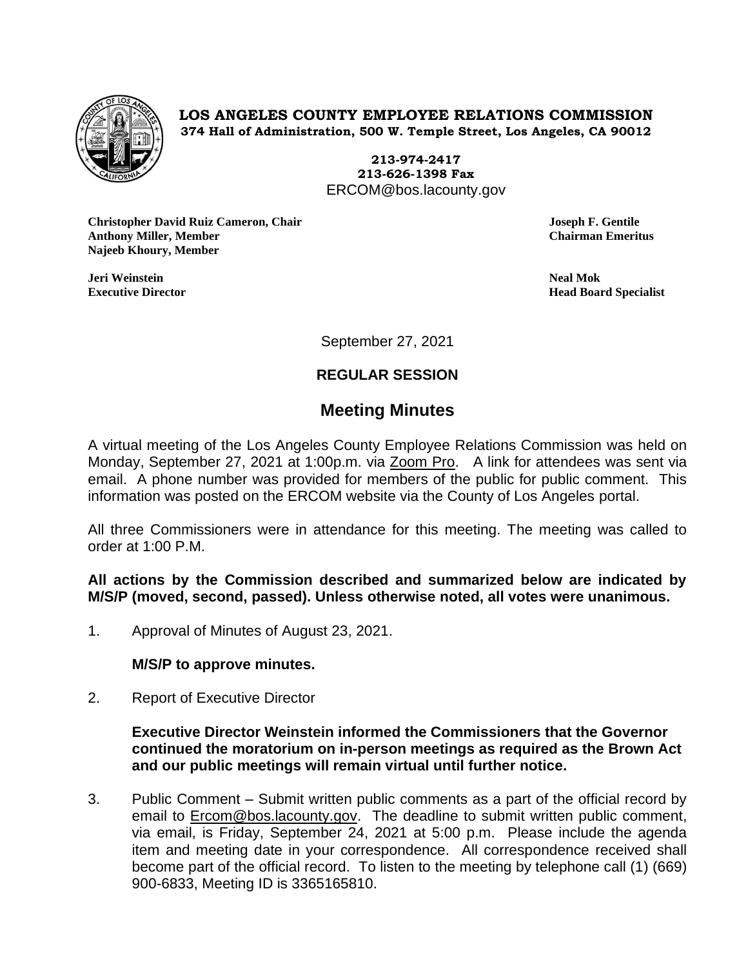

**LOS ANGELES COUNTY EMPLOYEE RELATIONS COMMISSION 374 Hall of Administration, 500 W. Temple Street, Los Angeles, CA 90012**

> **213-974-2417 213-626-1398 Fax** ERCOM@bos.lacounty.gov

**Christopher David Ruiz Cameron, Chair Joseph F. Gentile Anthony Miller, Member Chairman Emeritus Najeeb Khoury, Member**

**Jeri Weinstein Neal Mok**

**Executive Director Head Board Specialist**

September 27, 2021

# **REGULAR SESSION**

# **Meeting Minutes**

A virtual meeting of the Los Angeles County Employee Relations Commission was held on Monday, September 27, 2021 at 1:00p.m. via Zoom Pro. A link for attendees was sent via email. A phone number was provided for members of the public for public comment. This information was posted on the ERCOM website via the County of Los Angeles portal.

All three Commissioners were in attendance for this meeting. The meeting was called to order at 1:00 P.M.

**All actions by the Commission described and summarized below are indicated by M/S/P (moved, second, passed). Unless otherwise noted, all votes were unanimous.**

1. Approval of Minutes of August 23, 2021.

# **M/S/P to approve minutes.**

2. Report of Executive Director

**Executive Director Weinstein informed the Commissioners that the Governor continued the moratorium on in-person meetings as required as the Brown Act and our public meetings will remain virtual until further notice.**

3. Public Comment – Submit written public comments as a part of the official record by email to **Ercom@bos.lacounty.gov.** The deadline to submit written public comment, via email, is Friday, September 24, 2021 at 5:00 p.m. Please include the agenda item and meeting date in your correspondence. All correspondence received shall become part of the official record. To listen to the meeting by telephone call (1) (669) 900-6833, Meeting ID is 3365165810.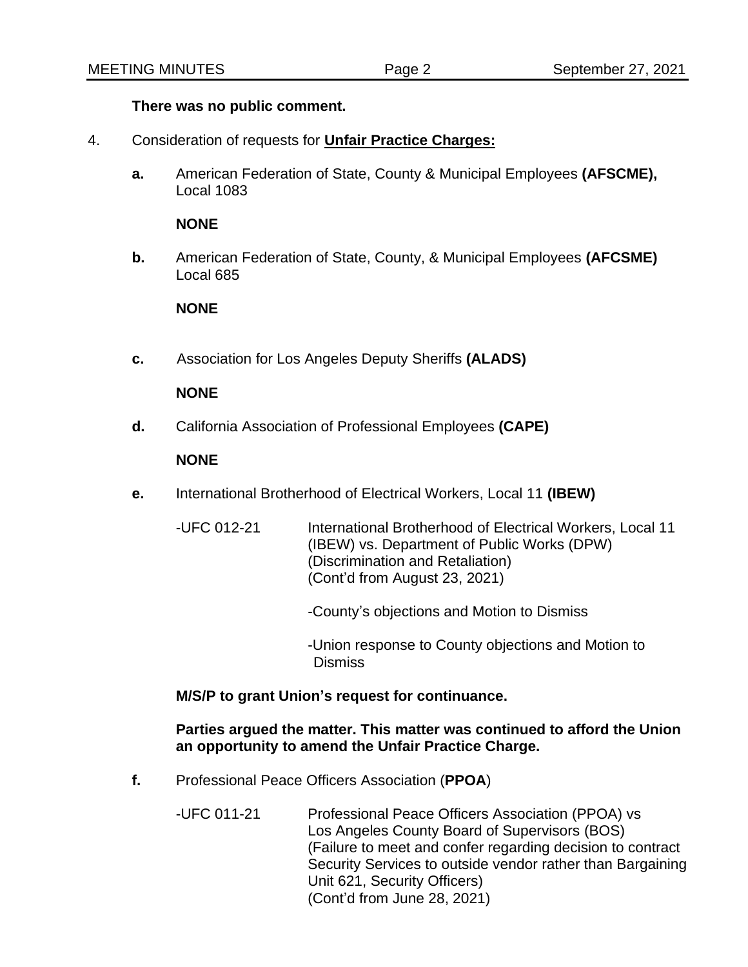### **There was no public comment.**

- 4. Consideration of requests for **Unfair Practice Charges:**
	- **a.** American Federation of State, County & Municipal Employees **(AFSCME),** Local 1083

#### **NONE**

**b.** American Federation of State, County, & Municipal Employees **(AFCSME)** Local 685

#### **NONE**

**c.** Association for Los Angeles Deputy Sheriffs **(ALADS)**

#### **NONE**

**d.** California Association of Professional Employees **(CAPE)**

#### **NONE**

**e.** International Brotherhood of Electrical Workers, Local 11 **(IBEW)**

| -UFC 012-21 | International Brotherhood of Electrical Workers, Local 11 |
|-------------|-----------------------------------------------------------|
|             | (IBEW) vs. Department of Public Works (DPW)               |
|             | (Discrimination and Retaliation)                          |
|             | (Cont'd from August 23, 2021)                             |
|             |                                                           |

- -County's objections and Motion to Dismiss
- -Union response to County objections and Motion to Dismiss

#### **M/S/P to grant Union's request for continuance.**

## **Parties argued the matter. This matter was continued to afford the Union an opportunity to amend the Unfair Practice Charge.**

- **f.** Professional Peace Officers Association (**PPOA**)
	- -UFC 011-21 Professional Peace Officers Association (PPOA) vs Los Angeles County Board of Supervisors (BOS) (Failure to meet and confer regarding decision to contract Security Services to outside vendor rather than Bargaining Unit 621, Security Officers) (Cont'd from June 28, 2021)